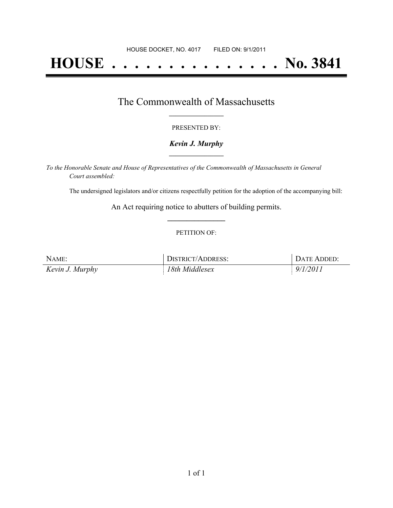# **HOUSE . . . . . . . . . . . . . . . No. 3841**

### The Commonwealth of Massachusetts **\_\_\_\_\_\_\_\_\_\_\_\_\_\_\_\_\_**

#### PRESENTED BY:

#### *Kevin J. Murphy* **\_\_\_\_\_\_\_\_\_\_\_\_\_\_\_\_\_**

*To the Honorable Senate and House of Representatives of the Commonwealth of Massachusetts in General Court assembled:*

The undersigned legislators and/or citizens respectfully petition for the adoption of the accompanying bill:

An Act requiring notice to abutters of building permits. **\_\_\_\_\_\_\_\_\_\_\_\_\_\_\_**

#### PETITION OF:

| NAME:           | <b>DISTRICT/ADDRESS:</b> | DATE ADDED: |
|-----------------|--------------------------|-------------|
| Kevin J. Murphy | 18th Middlesex           | 9/1/2011    |